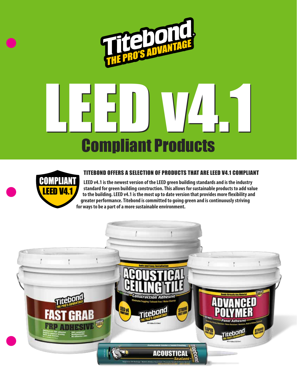



#### TITEBOND OFFERS A SELECTION OF PRODUCTS THAT ARE LEED V4.1 COMPLIANT

**LEED v4.1 is the newest version of the LEED green building standards and is the industry standard for green building construction. This allows for sustainable products to add value to the building. LEED v4.1 is the most up to date version that provides more flexibility and greater performance. Titebond is committed to going green and is continuously striving for ways to be a part of a more sustainable environment.**